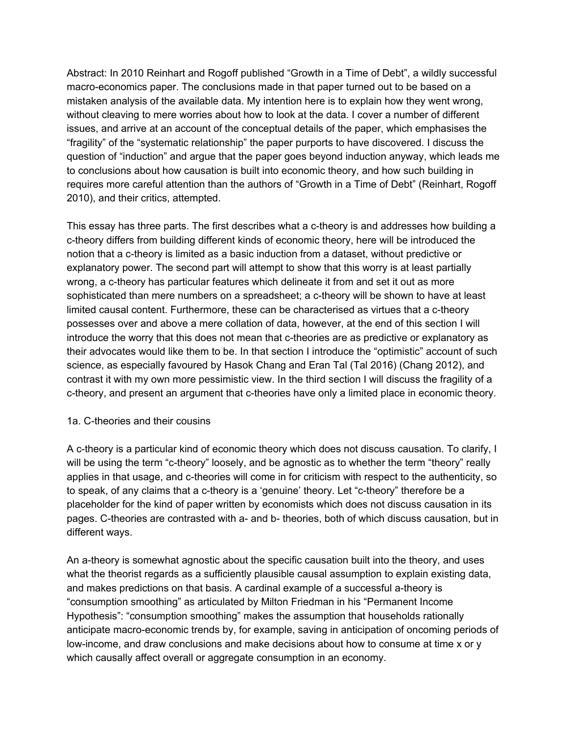Abstract: In 2010 Reinhart and Rogoff published "Growth in a Time of Debt", a wildly successful macro-economics paper. The conclusions made in that paper turned out to be based on a mistaken analysis of the available data. My intention here is to explain how they went wrong, without cleaving to mere worries about how to look at the data. I cover a number of different issues, and arrive at an account of the conceptual details of the paper, which emphasises the "fragility" of the "systematic relationship" the paper purports to have discovered. I discuss the question of "induction" and argue that the paper goes beyond induction anyway, which leads me to conclusions about how causation is built into economic theory, and how such building in requires more careful attention than the authors of "Growth in a Time of Debt" (Reinhart, Rogoff 2010), and their critics, attempted.

This essay has three parts. The first describes what a c-theory is and addresses how building a c-theory differs from building different kinds of economic theory, here will be introduced the notion that a c-theory is limited as a basic induction from a dataset, without predictive or explanatory power. The second part will attempt to show that this worry is at least partially wrong, a c-theory has particular features which delineate it from and set it out as more sophisticated than mere numbers on a spreadsheet; a c-theory will be shown to have at least limited causal content. Furthermore, these can be characterised as virtues that a c-theory possesses over and above a mere collation of data, however, at the end of this section I will introduce the worry that this does not mean that c-theories are as predictive or explanatory as their advocates would like them to be. In that section I introduce the "optimistic" account of such science, as especially favoured by Hasok Chang and Eran Tal (Tal 2016) (Chang 2012), and contrast it with my own more pessimistic view. In the third section I will discuss the fragility of a c-theory, and present an argument that c-theories have only a limited place in economic theory.

### 1a. C-theories and their cousins

A c-theory is a particular kind of economic theory which does not discuss causation. To clarify, I will be using the term "c-theory" loosely, and be agnostic as to whether the term "theory" really applies in that usage, and c-theories will come in for criticism with respect to the authenticity, so to speak, of any claims that a c-theory is a 'genuine' theory. Let "c-theory" therefore be a placeholder for the kind of paper written by economists which does not discuss causation in its pages. C-theories are contrasted with a- and b- theories, both of which discuss causation, but in different ways.

An a-theory is somewhat agnostic about the specific causation built into the theory, and uses what the theorist regards as a sufficiently plausible causal assumption to explain existing data, and makes predictions on that basis. A cardinal example of a successful a-theory is "consumption smoothing" as articulated by Milton Friedman in his "Permanent Income Hypothesis": "consumption smoothing" makes the assumption that households rationally anticipate macro-economic trends by, for example, saving in anticipation of oncoming periods of low-income, and draw conclusions and make decisions about how to consume at time x or y which causally affect overall or aggregate consumption in an economy.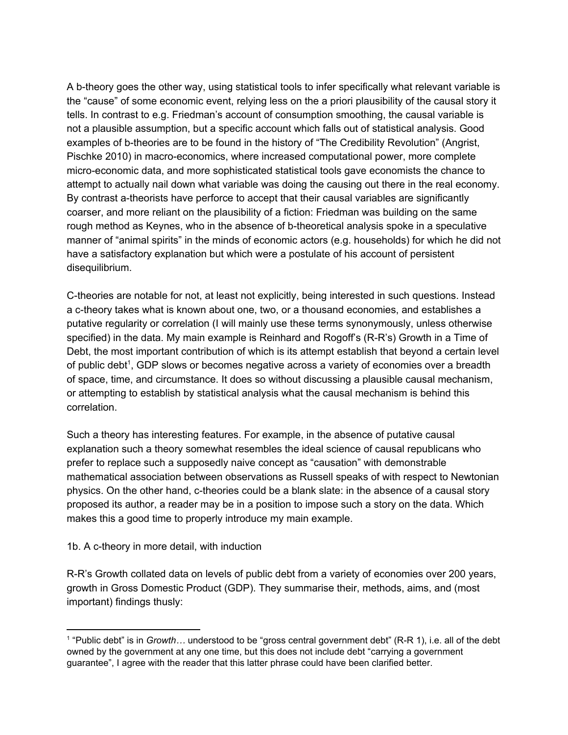A b-theory goes the other way, using statistical tools to infer specifically what relevant variable is the "cause" of some economic event, relying less on the a priori plausibility of the causal story it tells. In contrast to e.g. Friedman's account of consumption smoothing, the causal variable is not a plausible assumption, but a specific account which falls out of statistical analysis. Good examples of b-theories are to be found in the history of "The Credibility Revolution" (Angrist, Pischke 2010) in macro-economics, where increased computational power, more complete micro-economic data, and more sophisticated statistical tools gave economists the chance to attempt to actually nail down what variable was doing the causing out there in the real economy. By contrast a-theorists have perforce to accept that their causal variables are significantly coarser, and more reliant on the plausibility of a fiction: Friedman was building on the same rough method as Keynes, who in the absence of b-theoretical analysis spoke in a speculative manner of "animal spirits" in the minds of economic actors (e.g. households) for which he did not have a satisfactory explanation but which were a postulate of his account of persistent disequilibrium.

C-theories are notable for not, at least not explicitly, being interested in such questions. Instead a c-theory takes what is known about one, two, or a thousand economies, and establishes a putative regularity or correlation (I will mainly use these terms synonymously, unless otherwise specified) in the data. My main example is Reinhard and Rogoff's (R-R's) Growth in a Time of Debt, the most important contribution of which is its attempt establish that beyond a certain level of public debt<sup>1</sup>, GDP slows or becomes negative across a variety of economies over a breadth of space, time, and circumstance. It does so without discussing a plausible causal mechanism, or attempting to establish by statistical analysis what the causal mechanism is behind this correlation.

Such a theory has interesting features. For example, in the absence of putative causal explanation such a theory somewhat resembles the ideal science of causal republicans who prefer to replace such a supposedly naive concept as "causation" with demonstrable mathematical association between observations as Russell speaks of with respect to Newtonian physics. On the other hand, c-theories could be a blank slate: in the absence of a causal story proposed its author, a reader may be in a position to impose such a story on the data. Which makes this a good time to properly introduce my main example.

### 1b. A c-theory in more detail, with induction

R-R's Growth collated data on levels of public debt from a variety of economies over 200 years, growth in Gross Domestic Product (GDP). They summarise their, methods, aims, and (most important) findings thusly:

<sup>&</sup>lt;sup>1</sup> "Public debt" is in *Growth…* understood to be "gross central government debt" (R-R 1), i.e. all of the debt owned by the government at any one time, but this does not include debt "carrying a government guarantee", I agree with the reader that this latter phrase could have been clarified better.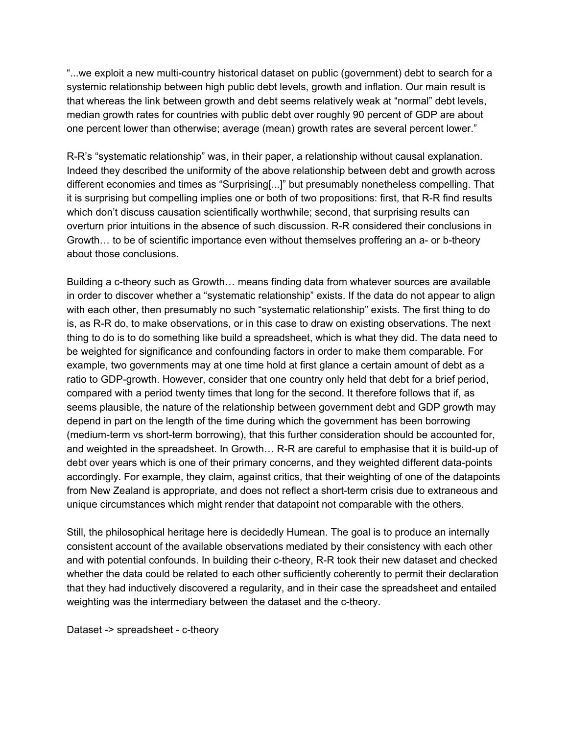"...we exploit a new multi-country historical dataset on public (government) debt to search for a systemic relationship between high public debt levels, growth and inflation. Our main result is that whereas the link between growth and debt seems relatively weak at "normal" debt levels, median growth rates for countries with public debt over roughly 90 percent of GDP are about one percent lower than otherwise; average (mean) growth rates are several percent lower."

R-R's "systematic relationship" was, in their paper, a relationship without causal explanation. Indeed they described the uniformity of the above relationship between debt and growth across different economies and times as "Surprising[...]" but presumably nonetheless compelling. That it is surprising but compelling implies one or both of two propositions: first, that R-R find results which don't discuss causation scientifically worthwhile; second, that surprising results can overturn prior intuitions in the absence of such discussion. R-R considered their conclusions in Growth… to be of scientific importance even without themselves proffering an a- or b-theory about those conclusions.

Building a c-theory such as Growth… means finding data from whatever sources are available in order to discover whether a "systematic relationship" exists. If the data do not appear to align with each other, then presumably no such "systematic relationship" exists. The first thing to do is, as R-R do, to make observations, or in this case to draw on existing observations. The next thing to do is to do something like build a spreadsheet, which is what they did. The data need to be weighted for significance and confounding factors in order to make them comparable. For example, two governments may at one time hold at first glance a certain amount of debt as a ratio to GDP-growth. However, consider that one country only held that debt for a brief period, compared with a period twenty times that long for the second. It therefore follows that if, as seems plausible, the nature of the relationship between government debt and GDP growth may depend in part on the length of the time during which the government has been borrowing (medium-term vs short-term borrowing), that this further consideration should be accounted for, and weighted in the spreadsheet. In Growth… R-R are careful to emphasise that it is build-up of debt over years which is one of their primary concerns, and they weighted different data-points accordingly. For example, they claim, against critics, that their weighting of one of the datapoints from New Zealand is appropriate, and does not reflect a short-term crisis due to extraneous and unique circumstances which might render that datapoint not comparable with the others.

Still, the philosophical heritage here is decidedly Humean. The goal is to produce an internally consistent account of the available observations mediated by their consistency with each other and with potential confounds. In building their c-theory, R-R took their new dataset and checked whether the data could be related to each other sufficiently coherently to permit their declaration that they had inductively discovered a regularity, and in their case the spreadsheet and entailed weighting was the intermediary between the dataset and the c-theory.

Dataset -> spreadsheet - c-theory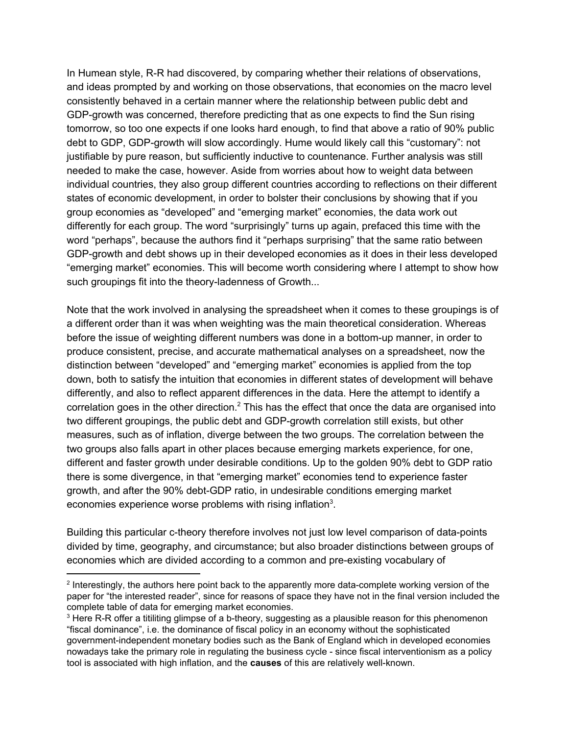In Humean style, R-R had discovered, by comparing whether their relations of observations, and ideas prompted by and working on those observations, that economies on the macro level consistently behaved in a certain manner where the relationship between public debt and GDP-growth was concerned, therefore predicting that as one expects to find the Sun rising tomorrow, so too one expects if one looks hard enough, to find that above a ratio of 90% public debt to GDP, GDP-growth will slow accordingly. Hume would likely call this "customary": not justifiable by pure reason, but sufficiently inductive to countenance. Further analysis was still needed to make the case, however. Aside from worries about how to weight data between individual countries, they also group different countries according to reflections on their different states of economic development, in order to bolster their conclusions by showing that if you group economies as "developed" and "emerging market" economies, the data work out differently for each group. The word "surprisingly" turns up again, prefaced this time with the word "perhaps", because the authors find it "perhaps surprising" that the same ratio between GDP-growth and debt shows up in their developed economies as it does in their less developed "emerging market" economies. This will become worth considering where I attempt to show how such groupings fit into the theory-ladenness of Growth...

Note that the work involved in analysing the spreadsheet when it comes to these groupings is of a different order than it was when weighting was the main theoretical consideration. Whereas before the issue of weighting different numbers was done in a bottom-up manner, in order to produce consistent, precise, and accurate mathematical analyses on a spreadsheet, now the distinction between "developed" and "emerging market" economies is applied from the top down, both to satisfy the intuition that economies in different states of development will behave differently, and also to reflect apparent differences in the data. Here the attempt to identify a correlation goes in the other direction.<sup>2</sup> This has the effect that once the data are organised into two different groupings, the public debt and GDP-growth correlation still exists, but other measures, such as of inflation, diverge between the two groups. The correlation between the two groups also falls apart in other places because emerging markets experience, for one, different and faster growth under desirable conditions. Up to the golden 90% debt to GDP ratio there is some divergence, in that "emerging market" economies tend to experience faster growth, and after the 90% debt-GDP ratio, in undesirable conditions emerging market economies experience worse problems with rising inflation<sup>3</sup>.

Building this particular c-theory therefore involves not just low level comparison of data-points divided by time, geography, and circumstance; but also broader distinctions between groups of economies which are divided according to a common and pre-existing vocabulary of

<sup>&</sup>lt;sup>2</sup> Interestingly, the authors here point back to the apparently more data-complete working version of the paper for "the interested reader", since for reasons of space they have not in the final version included the complete table of data for emerging market economies.

<sup>&</sup>lt;sup>3</sup> Here R-R offer a titiliting glimpse of a b-theory, suggesting as a plausible reason for this phenomenon "fiscal dominance", i.e. the dominance of fiscal policy in an economy without the sophisticated government-independent monetary bodies such as the Bank of England which in developed economies nowadays take the primary role in regulating the business cycle - since fiscal interventionism as a policy tool is associated with high inflation, and the **causes** of this are relatively well-known.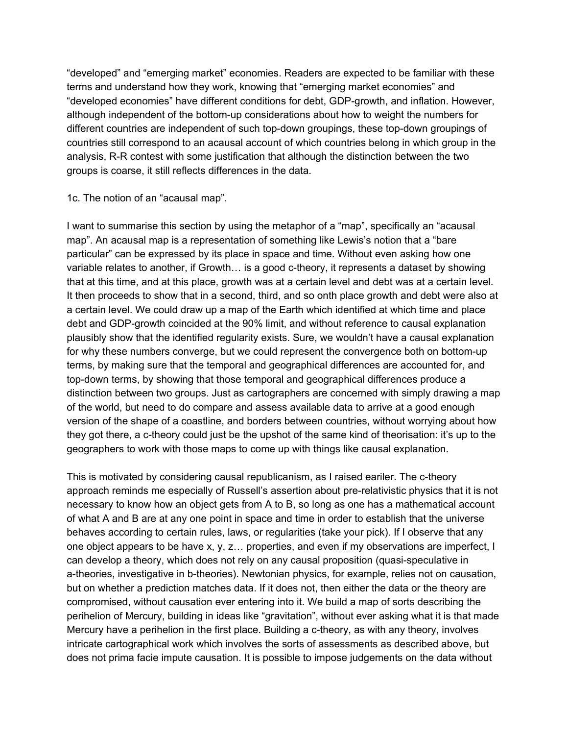"developed" and "emerging market" economies. Readers are expected to be familiar with these terms and understand how they work, knowing that "emerging market economies" and "developed economies" have different conditions for debt, GDP-growth, and inflation. However, although independent of the bottom-up considerations about how to weight the numbers for different countries are independent of such top-down groupings, these top-down groupings of countries still correspond to an acausal account of which countries belong in which group in the analysis, R-R contest with some justification that although the distinction between the two groups is coarse, it still reflects differences in the data.

1c. The notion of an "acausal map".

I want to summarise this section by using the metaphor of a "map", specifically an "acausal map". An acausal map is a representation of something like Lewis's notion that a "bare particular" can be expressed by its place in space and time. Without even asking how one variable relates to another, if Growth… is a good c-theory, it represents a dataset by showing that at this time, and at this place, growth was at a certain level and debt was at a certain level. It then proceeds to show that in a second, third, and so onth place growth and debt were also at a certain level. We could draw up a map of the Earth which identified at which time and place debt and GDP-growth coincided at the 90% limit, and without reference to causal explanation plausibly show that the identified regularity exists. Sure, we wouldn't have a causal explanation for why these numbers converge, but we could represent the convergence both on bottom-up terms, by making sure that the temporal and geographical differences are accounted for, and top-down terms, by showing that those temporal and geographical differences produce a distinction between two groups. Just as cartographers are concerned with simply drawing a map of the world, but need to do compare and assess available data to arrive at a good enough version of the shape of a coastline, and borders between countries, without worrying about how they got there, a c-theory could just be the upshot of the same kind of theorisation: it's up to the geographers to work with those maps to come up with things like causal explanation.

This is motivated by considering causal republicanism, as I raised eariler. The c-theory approach reminds me especially of Russell's assertion about pre-relativistic physics that it is not necessary to know how an object gets from A to B, so long as one has a mathematical account of what A and B are at any one point in space and time in order to establish that the universe behaves according to certain rules, laws, or regularities (take your pick). If I observe that any one object appears to be have x, y, z… properties, and even if my observations are imperfect, I can develop a theory, which does not rely on any causal proposition (quasi-speculative in a-theories, investigative in b-theories). Newtonian physics, for example, relies not on causation, but on whether a prediction matches data. If it does not, then either the data or the theory are compromised, without causation ever entering into it. We build a map of sorts describing the perihelion of Mercury, building in ideas like "gravitation", without ever asking what it is that made Mercury have a perihelion in the first place. Building a c-theory, as with any theory, involves intricate cartographical work which involves the sorts of assessments as described above, but does not prima facie impute causation. It is possible to impose judgements on the data without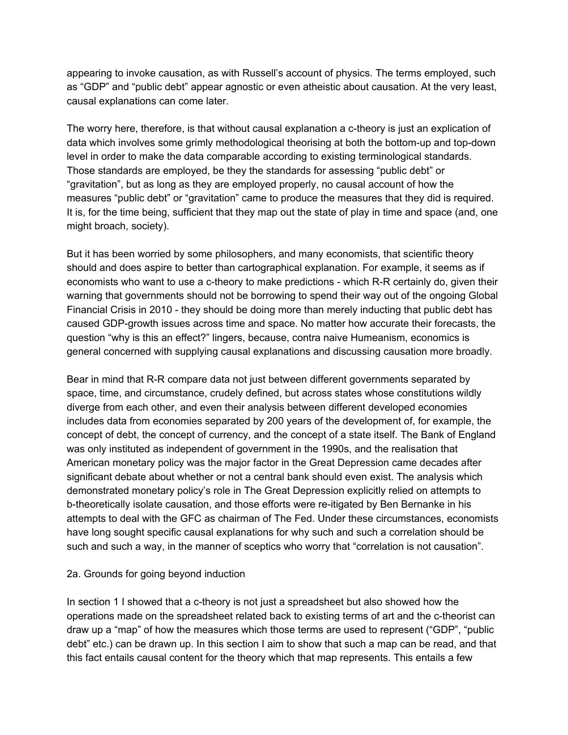appearing to invoke causation, as with Russell's account of physics. The terms employed, such as "GDP" and "public debt" appear agnostic or even atheistic about causation. At the very least, causal explanations can come later.

The worry here, therefore, is that without causal explanation a c-theory is just an explication of data which involves some grimly methodological theorising at both the bottom-up and top-down level in order to make the data comparable according to existing terminological standards. Those standards are employed, be they the standards for assessing "public debt" or "gravitation", but as long as they are employed properly, no causal account of how the measures "public debt" or "gravitation" came to produce the measures that they did is required. It is, for the time being, sufficient that they map out the state of play in time and space (and, one might broach, society).

But it has been worried by some philosophers, and many economists, that scientific theory should and does aspire to better than cartographical explanation. For example, it seems as if economists who want to use a c-theory to make predictions - which R-R certainly do, given their warning that governments should not be borrowing to spend their way out of the ongoing Global Financial Crisis in 2010 - they should be doing more than merely inducting that public debt has caused GDP-growth issues across time and space. No matter how accurate their forecasts, the question "why is this an effect?" lingers, because, contra naive Humeanism, economics is general concerned with supplying causal explanations and discussing causation more broadly.

Bear in mind that R-R compare data not just between different governments separated by space, time, and circumstance, crudely defined, but across states whose constitutions wildly diverge from each other, and even their analysis between different developed economies includes data from economies separated by 200 years of the development of, for example, the concept of debt, the concept of currency, and the concept of a state itself. The Bank of England was only instituted as independent of government in the 1990s, and the realisation that American monetary policy was the major factor in the Great Depression came decades after significant debate about whether or not a central bank should even exist. The analysis which demonstrated monetary policy's role in The Great Depression explicitly relied on attempts to b-theoretically isolate causation, and those efforts were re-itigated by Ben Bernanke in his attempts to deal with the GFC as chairman of The Fed. Under these circumstances, economists have long sought specific causal explanations for why such and such a correlation should be such and such a way, in the manner of sceptics who worry that "correlation is not causation".

### 2a. Grounds for going beyond induction

In section 1 I showed that a c-theory is not just a spreadsheet but also showed how the operations made on the spreadsheet related back to existing terms of art and the c-theorist can draw up a "map" of how the measures which those terms are used to represent ("GDP", "public debt" etc.) can be drawn up. In this section I aim to show that such a map can be read, and that this fact entails causal content for the theory which that map represents. This entails a few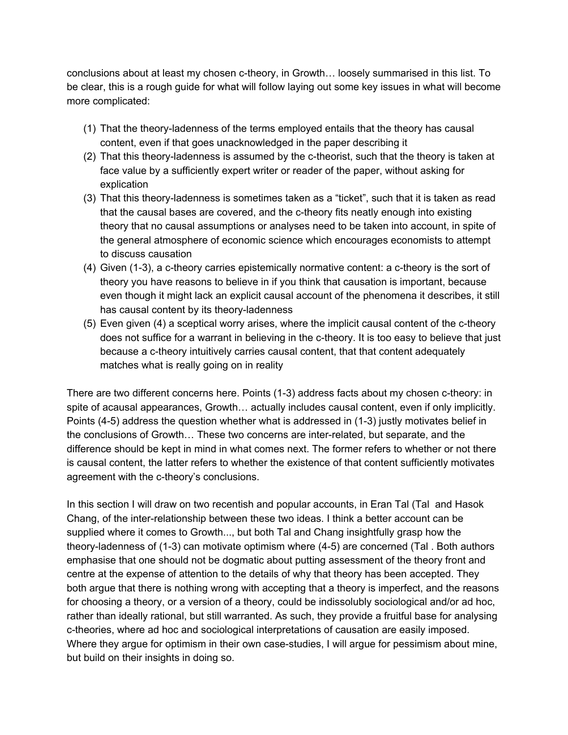conclusions about at least my chosen c-theory, in Growth… loosely summarised in this list. To be clear, this is a rough guide for what will follow laying out some key issues in what will become more complicated:

- (1) That the theory-ladenness of the terms employed entails that the theory has causal content, even if that goes unacknowledged in the paper describing it
- (2) That this theory-ladenness is assumed by the c-theorist, such that the theory is taken at face value by a sufficiently expert writer or reader of the paper, without asking for explication
- (3) That this theory-ladenness is sometimes taken as a "ticket", such that it is taken as read that the causal bases are covered, and the c-theory fits neatly enough into existing theory that no causal assumptions or analyses need to be taken into account, in spite of the general atmosphere of economic science which encourages economists to attempt to discuss causation
- (4) Given (1-3), a c-theory carries epistemically normative content: a c-theory is the sort of theory you have reasons to believe in if you think that causation is important, because even though it might lack an explicit causal account of the phenomena it describes, it still has causal content by its theory-ladenness
- (5) Even given (4) a sceptical worry arises, where the implicit causal content of the c-theory does not suffice for a warrant in believing in the c-theory. It is too easy to believe that just because a c-theory intuitively carries causal content, that that content adequately matches what is really going on in reality

There are two different concerns here. Points (1-3) address facts about my chosen c-theory: in spite of acausal appearances, Growth… actually includes causal content, even if only implicitly. Points (4-5) address the question whether what is addressed in (1-3) justly motivates belief in the conclusions of Growth… These two concerns are inter-related, but separate, and the difference should be kept in mind in what comes next. The former refers to whether or not there is causal content, the latter refers to whether the existence of that content sufficiently motivates agreement with the c-theory's conclusions.

In this section I will draw on two recentish and popular accounts, in Eran Tal (Tal and Hasok Chang, of the inter-relationship between these two ideas. I think a better account can be supplied where it comes to Growth..., but both Tal and Chang insightfully grasp how the theory-ladenness of (1-3) can motivate optimism where (4-5) are concerned (Tal . Both authors emphasise that one should not be dogmatic about putting assessment of the theory front and centre at the expense of attention to the details of why that theory has been accepted. They both argue that there is nothing wrong with accepting that a theory is imperfect, and the reasons for choosing a theory, or a version of a theory, could be indissolubly sociological and/or ad hoc, rather than ideally rational, but still warranted. As such, they provide a fruitful base for analysing c-theories, where ad hoc and sociological interpretations of causation are easily imposed. Where they argue for optimism in their own case-studies, I will argue for pessimism about mine, but build on their insights in doing so.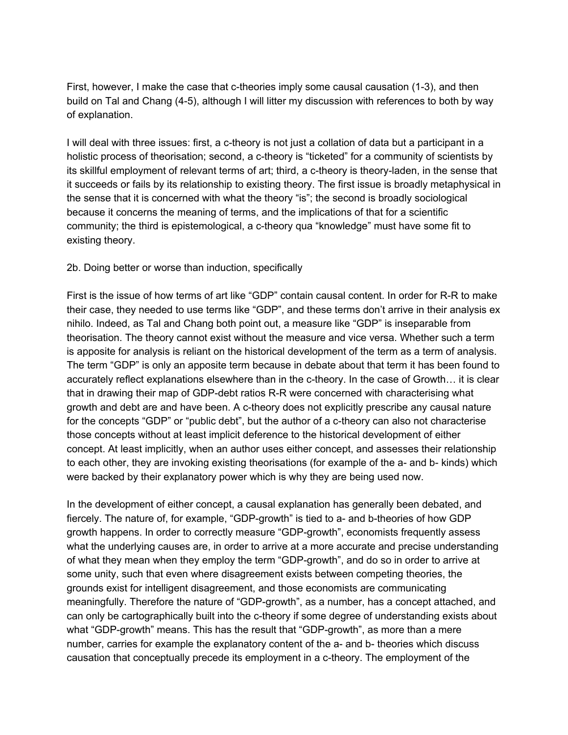First, however, I make the case that c-theories imply some causal causation (1-3), and then build on Tal and Chang (4-5), although I will litter my discussion with references to both by way of explanation.

I will deal with three issues: first, a c-theory is not just a collation of data but a participant in a holistic process of theorisation; second, a c-theory is "ticketed" for a community of scientists by its skillful employment of relevant terms of art; third, a c-theory is theory-laden, in the sense that it succeeds or fails by its relationship to existing theory. The first issue is broadly metaphysical in the sense that it is concerned with what the theory "is"; the second is broadly sociological because it concerns the meaning of terms, and the implications of that for a scientific community; the third is epistemological, a c-theory qua "knowledge" must have some fit to existing theory.

### 2b. Doing better or worse than induction, specifically

First is the issue of how terms of art like "GDP" contain causal content. In order for R-R to make their case, they needed to use terms like "GDP", and these terms don't arrive in their analysis ex nihilo. Indeed, as Tal and Chang both point out, a measure like "GDP" is inseparable from theorisation. The theory cannot exist without the measure and vice versa. Whether such a term is apposite for analysis is reliant on the historical development of the term as a term of analysis. The term "GDP" is only an apposite term because in debate about that term it has been found to accurately reflect explanations elsewhere than in the c-theory. In the case of Growth… it is clear that in drawing their map of GDP-debt ratios R-R were concerned with characterising what growth and debt are and have been. A c-theory does not explicitly prescribe any causal nature for the concepts "GDP" or "public debt", but the author of a c-theory can also not characterise those concepts without at least implicit deference to the historical development of either concept. At least implicitly, when an author uses either concept, and assesses their relationship to each other, they are invoking existing theorisations (for example of the a- and b- kinds) which were backed by their explanatory power which is why they are being used now.

In the development of either concept, a causal explanation has generally been debated, and fiercely. The nature of, for example, "GDP-growth" is tied to a- and b-theories of how GDP growth happens. In order to correctly measure "GDP-growth", economists frequently assess what the underlying causes are, in order to arrive at a more accurate and precise understanding of what they mean when they employ the term "GDP-growth", and do so in order to arrive at some unity, such that even where disagreement exists between competing theories, the grounds exist for intelligent disagreement, and those economists are communicating meaningfully. Therefore the nature of "GDP-growth", as a number, has a concept attached, and can only be cartographically built into the c-theory if some degree of understanding exists about what "GDP-growth" means. This has the result that "GDP-growth", as more than a mere number, carries for example the explanatory content of the a- and b- theories which discuss causation that conceptually precede its employment in a c-theory. The employment of the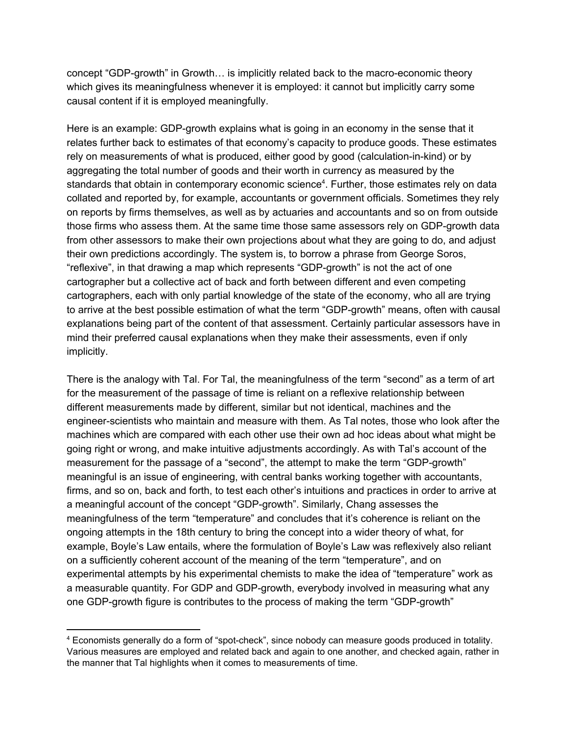concept "GDP-growth" in Growth… is implicitly related back to the macro-economic theory which gives its meaningfulness whenever it is employed: it cannot but implicitly carry some causal content if it is employed meaningfully.

Here is an example: GDP-growth explains what is going in an economy in the sense that it relates further back to estimates of that economy's capacity to produce goods. These estimates rely on measurements of what is produced, either good by good (calculation-in-kind) or by aggregating the total number of goods and their worth in currency as measured by the standards that obtain in contemporary economic science<sup>4</sup>. Further, those estimates rely on data collated and reported by, for example, accountants or government officials. Sometimes they rely on reports by firms themselves, as well as by actuaries and accountants and so on from outside those firms who assess them. At the same time those same assessors rely on GDP-growth data from other assessors to make their own projections about what they are going to do, and adjust their own predictions accordingly. The system is, to borrow a phrase from George Soros, "reflexive", in that drawing a map which represents "GDP-growth" is not the act of one cartographer but a collective act of back and forth between different and even competing cartographers, each with only partial knowledge of the state of the economy, who all are trying to arrive at the best possible estimation of what the term "GDP-growth" means, often with causal explanations being part of the content of that assessment. Certainly particular assessors have in mind their preferred causal explanations when they make their assessments, even if only implicitly.

There is the analogy with Tal. For Tal, the meaningfulness of the term "second" as a term of art for the measurement of the passage of time is reliant on a reflexive relationship between different measurements made by different, similar but not identical, machines and the engineer-scientists who maintain and measure with them. As Tal notes, those who look after the machines which are compared with each other use their own ad hoc ideas about what might be going right or wrong, and make intuitive adjustments accordingly. As with Tal's account of the measurement for the passage of a "second", the attempt to make the term "GDP-growth" meaningful is an issue of engineering, with central banks working together with accountants, firms, and so on, back and forth, to test each other's intuitions and practices in order to arrive at a meaningful account of the concept "GDP-growth". Similarly, Chang assesses the meaningfulness of the term "temperature" and concludes that it's coherence is reliant on the ongoing attempts in the 18th century to bring the concept into a wider theory of what, for example, Boyle's Law entails, where the formulation of Boyle's Law was reflexively also reliant on a sufficiently coherent account of the meaning of the term "temperature", and on experimental attempts by his experimental chemists to make the idea of "temperature" work as a measurable quantity. For GDP and GDP-growth, everybody involved in measuring what any one GDP-growth figure is contributes to the process of making the term "GDP-growth"

<sup>4</sup> Economists generally do a form of "spot-check", since nobody can measure goods produced in totality. Various measures are employed and related back and again to one another, and checked again, rather in the manner that Tal highlights when it comes to measurements of time.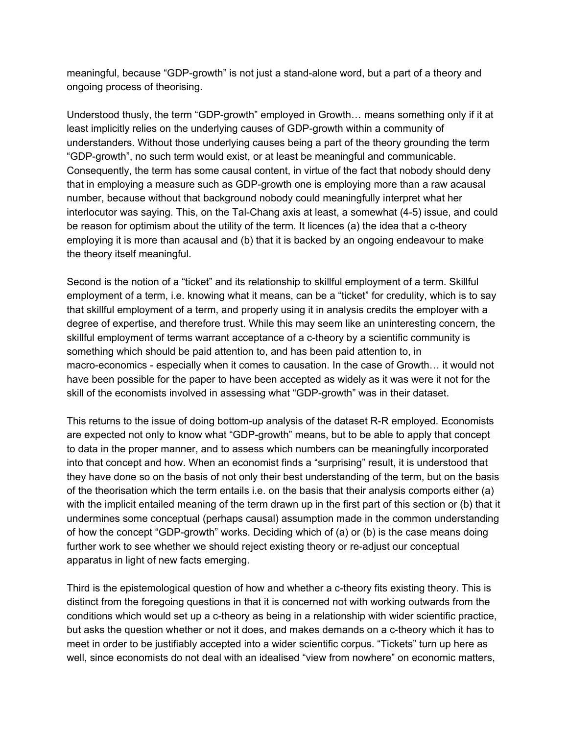meaningful, because "GDP-growth" is not just a stand-alone word, but a part of a theory and ongoing process of theorising.

Understood thusly, the term "GDP-growth" employed in Growth… means something only if it at least implicitly relies on the underlying causes of GDP-growth within a community of understanders. Without those underlying causes being a part of the theory grounding the term "GDP-growth", no such term would exist, or at least be meaningful and communicable. Consequently, the term has some causal content, in virtue of the fact that nobody should deny that in employing a measure such as GDP-growth one is employing more than a raw acausal number, because without that background nobody could meaningfully interpret what her interlocutor was saying. This, on the Tal-Chang axis at least, a somewhat (4-5) issue, and could be reason for optimism about the utility of the term. It licences (a) the idea that a c-theory employing it is more than acausal and (b) that it is backed by an ongoing endeavour to make the theory itself meaningful.

Second is the notion of a "ticket" and its relationship to skillful employment of a term. Skillful employment of a term, i.e. knowing what it means, can be a "ticket" for credulity, which is to say that skillful employment of a term, and properly using it in analysis credits the employer with a degree of expertise, and therefore trust. While this may seem like an uninteresting concern, the skillful employment of terms warrant acceptance of a c-theory by a scientific community is something which should be paid attention to, and has been paid attention to, in macro-economics - especially when it comes to causation. In the case of Growth… it would not have been possible for the paper to have been accepted as widely as it was were it not for the skill of the economists involved in assessing what "GDP-growth" was in their dataset.

This returns to the issue of doing bottom-up analysis of the dataset R-R employed. Economists are expected not only to know what "GDP-growth" means, but to be able to apply that concept to data in the proper manner, and to assess which numbers can be meaningfully incorporated into that concept and how. When an economist finds a "surprising" result, it is understood that they have done so on the basis of not only their best understanding of the term, but on the basis of the theorisation which the term entails i.e. on the basis that their analysis comports either (a) with the implicit entailed meaning of the term drawn up in the first part of this section or (b) that it undermines some conceptual (perhaps causal) assumption made in the common understanding of how the concept "GDP-growth" works. Deciding which of (a) or (b) is the case means doing further work to see whether we should reject existing theory or re-adjust our conceptual apparatus in light of new facts emerging.

Third is the epistemological question of how and whether a c-theory fits existing theory. This is distinct from the foregoing questions in that it is concerned not with working outwards from the conditions which would set up a c-theory as being in a relationship with wider scientific practice, but asks the question whether or not it does, and makes demands on a c-theory which it has to meet in order to be justifiably accepted into a wider scientific corpus. "Tickets" turn up here as well, since economists do not deal with an idealised "view from nowhere" on economic matters,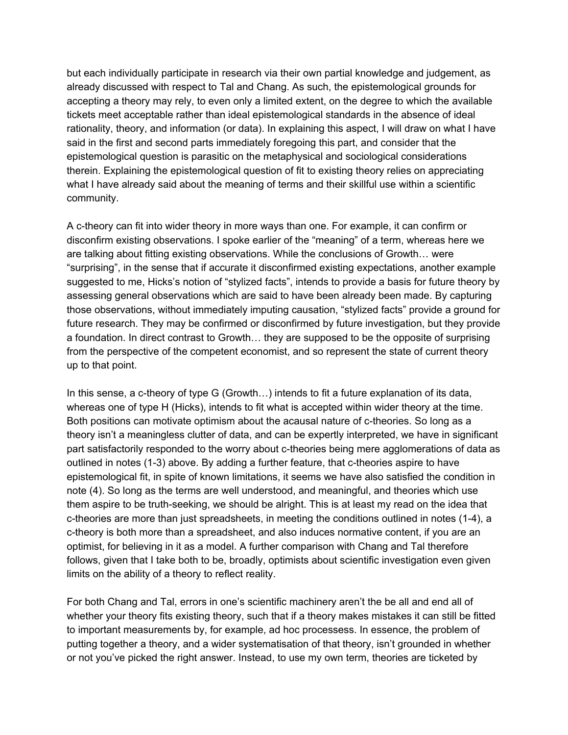but each individually participate in research via their own partial knowledge and judgement, as already discussed with respect to Tal and Chang. As such, the epistemological grounds for accepting a theory may rely, to even only a limited extent, on the degree to which the available tickets meet acceptable rather than ideal epistemological standards in the absence of ideal rationality, theory, and information (or data). In explaining this aspect, I will draw on what I have said in the first and second parts immediately foregoing this part, and consider that the epistemological question is parasitic on the metaphysical and sociological considerations therein. Explaining the epistemological question of fit to existing theory relies on appreciating what I have already said about the meaning of terms and their skillful use within a scientific community.

A c-theory can fit into wider theory in more ways than one. For example, it can confirm or disconfirm existing observations. I spoke earlier of the "meaning" of a term, whereas here we are talking about fitting existing observations. While the conclusions of Growth… were "surprising", in the sense that if accurate it disconfirmed existing expectations, another example suggested to me, Hicks's notion of "stylized facts", intends to provide a basis for future theory by assessing general observations which are said to have been already been made. By capturing those observations, without immediately imputing causation, "stylized facts" provide a ground for future research. They may be confirmed or disconfirmed by future investigation, but they provide a foundation. In direct contrast to Growth… they are supposed to be the opposite of surprising from the perspective of the competent economist, and so represent the state of current theory up to that point.

In this sense, a c-theory of type G (Growth...) intends to fit a future explanation of its data, whereas one of type H (Hicks), intends to fit what is accepted within wider theory at the time. Both positions can motivate optimism about the acausal nature of c-theories. So long as a theory isn't a meaningless clutter of data, and can be expertly interpreted, we have in significant part satisfactorily responded to the worry about c-theories being mere agglomerations of data as outlined in notes (1-3) above. By adding a further feature, that c-theories aspire to have epistemological fit, in spite of known limitations, it seems we have also satisfied the condition in note (4). So long as the terms are well understood, and meaningful, and theories which use them aspire to be truth-seeking, we should be alright. This is at least my read on the idea that c-theories are more than just spreadsheets, in meeting the conditions outlined in notes (1-4), a c-theory is both more than a spreadsheet, and also induces normative content, if you are an optimist, for believing in it as a model. A further comparison with Chang and Tal therefore follows, given that I take both to be, broadly, optimists about scientific investigation even given limits on the ability of a theory to reflect reality.

For both Chang and Tal, errors in one's scientific machinery aren't the be all and end all of whether your theory fits existing theory, such that if a theory makes mistakes it can still be fitted to important measurements by, for example, ad hoc processess. In essence, the problem of putting together a theory, and a wider systematisation of that theory, isn't grounded in whether or not you've picked the right answer. Instead, to use my own term, theories are ticketed by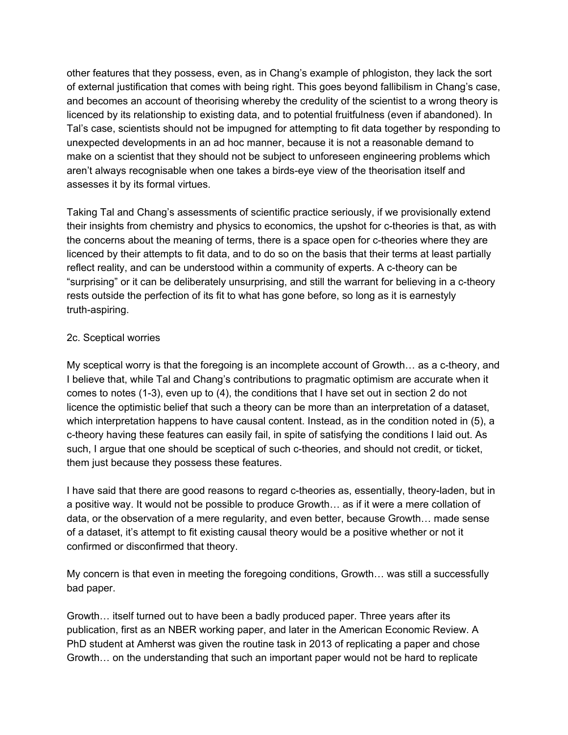other features that they possess, even, as in Chang's example of phlogiston, they lack the sort of external justification that comes with being right. This goes beyond fallibilism in Chang's case, and becomes an account of theorising whereby the credulity of the scientist to a wrong theory is licenced by its relationship to existing data, and to potential fruitfulness (even if abandoned). In Tal's case, scientists should not be impugned for attempting to fit data together by responding to unexpected developments in an ad hoc manner, because it is not a reasonable demand to make on a scientist that they should not be subject to unforeseen engineering problems which aren't always recognisable when one takes a birds-eye view of the theorisation itself and assesses it by its formal virtues.

Taking Tal and Chang's assessments of scientific practice seriously, if we provisionally extend their insights from chemistry and physics to economics, the upshot for c-theories is that, as with the concerns about the meaning of terms, there is a space open for c-theories where they are licenced by their attempts to fit data, and to do so on the basis that their terms at least partially reflect reality, and can be understood within a community of experts. A c-theory can be "surprising" or it can be deliberately unsurprising, and still the warrant for believing in a c-theory rests outside the perfection of its fit to what has gone before, so long as it is earnestyly truth-aspiring.

## 2c. Sceptical worries

My sceptical worry is that the foregoing is an incomplete account of Growth… as a c-theory, and I believe that, while Tal and Chang's contributions to pragmatic optimism are accurate when it comes to notes (1-3), even up to (4), the conditions that I have set out in section 2 do not licence the optimistic belief that such a theory can be more than an interpretation of a dataset, which interpretation happens to have causal content. Instead, as in the condition noted in (5), a c-theory having these features can easily fail, in spite of satisfying the conditions I laid out. As such, I argue that one should be sceptical of such c-theories, and should not credit, or ticket, them just because they possess these features.

I have said that there are good reasons to regard c-theories as, essentially, theory-laden, but in a positive way. It would not be possible to produce Growth… as if it were a mere collation of data, or the observation of a mere regularity, and even better, because Growth… made sense of a dataset, it's attempt to fit existing causal theory would be a positive whether or not it confirmed or disconfirmed that theory.

My concern is that even in meeting the foregoing conditions, Growth… was still a successfully bad paper.

Growth… itself turned out to have been a badly produced paper. Three years after its publication, first as an NBER working paper, and later in the American Economic Review. A PhD student at Amherst was given the routine task in 2013 of replicating a paper and chose Growth… on the understanding that such an important paper would not be hard to replicate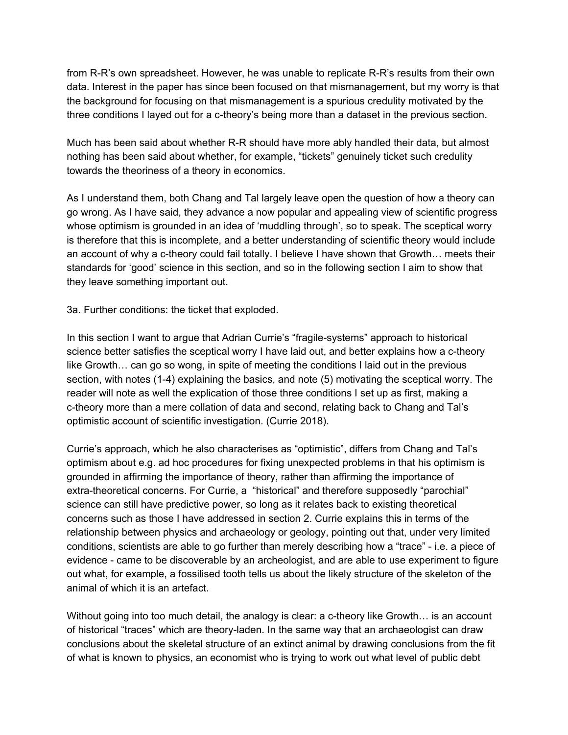from R-R's own spreadsheet. However, he was unable to replicate R-R's results from their own data. Interest in the paper has since been focused on that mismanagement, but my worry is that the background for focusing on that mismanagement is a spurious credulity motivated by the three conditions I layed out for a c-theory's being more than a dataset in the previous section.

Much has been said about whether R-R should have more ably handled their data, but almost nothing has been said about whether, for example, "tickets" genuinely ticket such credulity towards the theoriness of a theory in economics.

As I understand them, both Chang and Tal largely leave open the question of how a theory can go wrong. As I have said, they advance a now popular and appealing view of scientific progress whose optimism is grounded in an idea of 'muddling through', so to speak. The sceptical worry is therefore that this is incomplete, and a better understanding of scientific theory would include an account of why a c-theory could fail totally. I believe I have shown that Growth… meets their standards for 'good' science in this section, and so in the following section I aim to show that they leave something important out.

3a. Further conditions: the ticket that exploded.

In this section I want to argue that Adrian Currie's "fragile-systems" approach to historical science better satisfies the sceptical worry I have laid out, and better explains how a c-theory like Growth… can go so wong, in spite of meeting the conditions I laid out in the previous section, with notes (1-4) explaining the basics, and note (5) motivating the sceptical worry. The reader will note as well the explication of those three conditions I set up as first, making a c-theory more than a mere collation of data and second, relating back to Chang and Tal's optimistic account of scientific investigation. (Currie 2018).

Currie's approach, which he also characterises as "optimistic", differs from Chang and Tal's optimism about e.g. ad hoc procedures for fixing unexpected problems in that his optimism is grounded in affirming the importance of theory, rather than affirming the importance of extra-theoretical concerns. For Currie, a "historical" and therefore supposedly "parochial" science can still have predictive power, so long as it relates back to existing theoretical concerns such as those I have addressed in section 2. Currie explains this in terms of the relationship between physics and archaeology or geology, pointing out that, under very limited conditions, scientists are able to go further than merely describing how a "trace" - i.e. a piece of evidence - came to be discoverable by an archeologist, and are able to use experiment to figure out what, for example, a fossilised tooth tells us about the likely structure of the skeleton of the animal of which it is an artefact.

Without going into too much detail, the analogy is clear: a c-theory like Growth... is an account of historical "traces" which are theory-laden. In the same way that an archaeologist can draw conclusions about the skeletal structure of an extinct animal by drawing conclusions from the fit of what is known to physics, an economist who is trying to work out what level of public debt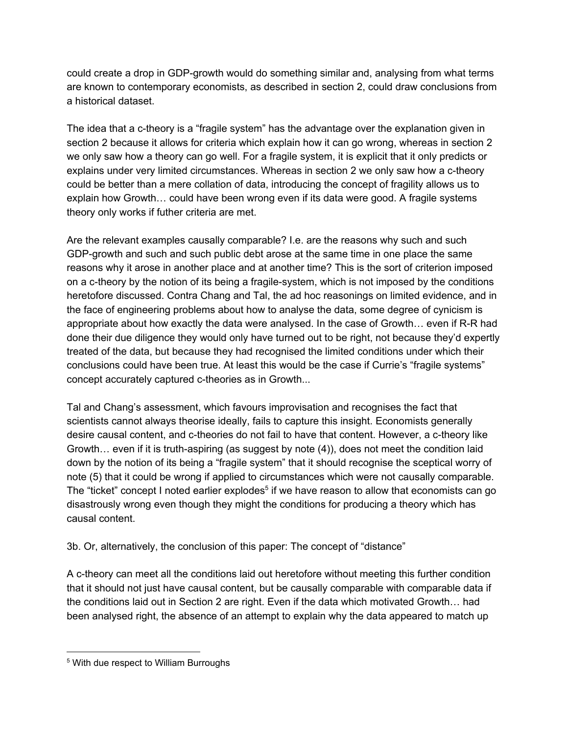could create a drop in GDP-growth would do something similar and, analysing from what terms are known to contemporary economists, as described in section 2, could draw conclusions from a historical dataset.

The idea that a c-theory is a "fragile system" has the advantage over the explanation given in section 2 because it allows for criteria which explain how it can go wrong, whereas in section 2 we only saw how a theory can go well. For a fragile system, it is explicit that it only predicts or explains under very limited circumstances. Whereas in section 2 we only saw how a c-theory could be better than a mere collation of data, introducing the concept of fragility allows us to explain how Growth… could have been wrong even if its data were good. A fragile systems theory only works if futher criteria are met.

Are the relevant examples causally comparable? I.e. are the reasons why such and such GDP-growth and such and such public debt arose at the same time in one place the same reasons why it arose in another place and at another time? This is the sort of criterion imposed on a c-theory by the notion of its being a fragile-system, which is not imposed by the conditions heretofore discussed. Contra Chang and Tal, the ad hoc reasonings on limited evidence, and in the face of engineering problems about how to analyse the data, some degree of cynicism is appropriate about how exactly the data were analysed. In the case of Growth… even if R-R had done their due diligence they would only have turned out to be right, not because they'd expertly treated of the data, but because they had recognised the limited conditions under which their conclusions could have been true. At least this would be the case if Currie's "fragile systems" concept accurately captured c-theories as in Growth...

Tal and Chang's assessment, which favours improvisation and recognises the fact that scientists cannot always theorise ideally, fails to capture this insight. Economists generally desire causal content, and c-theories do not fail to have that content. However, a c-theory like Growth… even if it is truth-aspiring (as suggest by note (4)), does not meet the condition laid down by the notion of its being a "fragile system" that it should recognise the sceptical worry of note (5) that it could be wrong if applied to circumstances which were not causally comparable. The "ticket" concept I noted earlier explodes<sup>5</sup> if we have reason to allow that economists can go disastrously wrong even though they might the conditions for producing a theory which has causal content.

3b. Or, alternatively, the conclusion of this paper: The concept of "distance"

A c-theory can meet all the conditions laid out heretofore without meeting this further condition that it should not just have causal content, but be causally comparable with comparable data if the conditions laid out in Section 2 are right. Even if the data which motivated Growth… had been analysed right, the absence of an attempt to explain why the data appeared to match up

<sup>5</sup> With due respect to William Burroughs